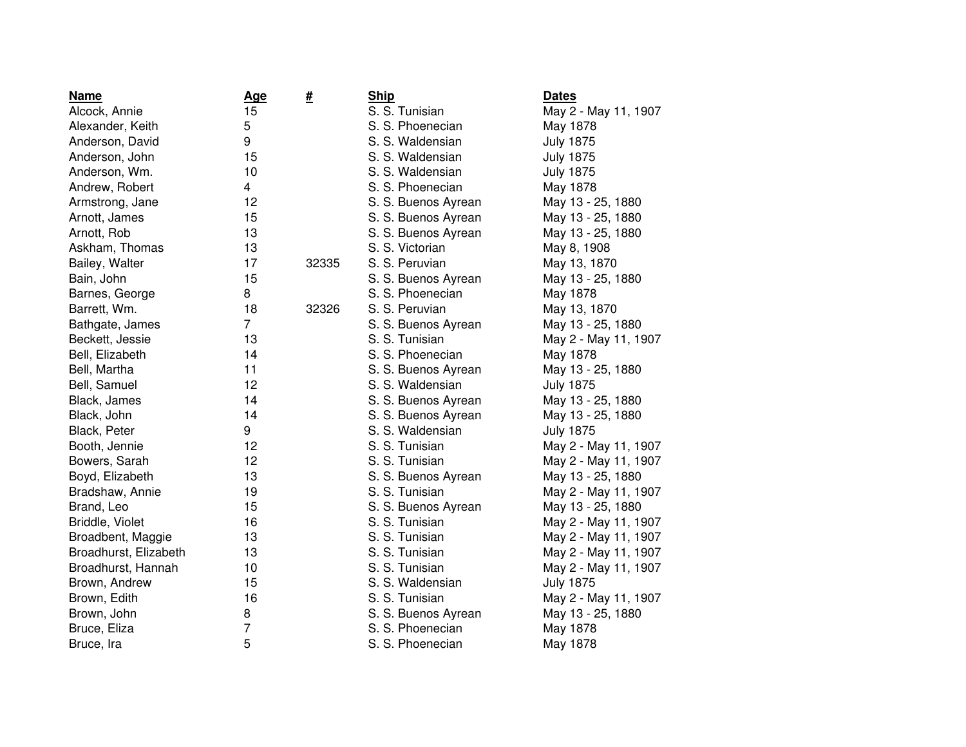| <b>Name</b>           | <b>Age</b>     | <u>#</u> | <b>Ship</b>         | <b>Dates</b>         |
|-----------------------|----------------|----------|---------------------|----------------------|
| Alcock, Annie         | 15             |          | S. S. Tunisian      | May 2 - May 11, 1907 |
| Alexander, Keith      | 5              |          | S. S. Phoenecian    | May 1878             |
| Anderson, David       | 9              |          | S. S. Waldensian    | <b>July 1875</b>     |
| Anderson, John        | 15             |          | S. S. Waldensian    | <b>July 1875</b>     |
| Anderson, Wm.         | 10             |          | S. S. Waldensian    | <b>July 1875</b>     |
| Andrew, Robert        | $\overline{4}$ |          | S. S. Phoenecian    | May 1878             |
| Armstrong, Jane       | 12             |          | S. S. Buenos Ayrean | May 13 - 25, 1880    |
| Arnott, James         | 15             |          | S. S. Buenos Ayrean | May 13 - 25, 1880    |
| Arnott, Rob           | 13             |          | S. S. Buenos Ayrean | May 13 - 25, 1880    |
| Askham, Thomas        | 13             |          | S. S. Victorian     | May 8, 1908          |
| Bailey, Walter        | 17             | 32335    | S. S. Peruvian      | May 13, 1870         |
| Bain, John            | 15             |          | S. S. Buenos Ayrean | May 13 - 25, 1880    |
| Barnes, George        | 8              |          | S. S. Phoenecian    | May 1878             |
| Barrett, Wm.          | 18             | 32326    | S. S. Peruvian      | May 13, 1870         |
| Bathgate, James       | $\overline{7}$ |          | S. S. Buenos Ayrean | May 13 - 25, 1880    |
| Beckett, Jessie       | 13             |          | S. S. Tunisian      | May 2 - May 11, 1907 |
| Bell, Elizabeth       | 14             |          | S. S. Phoenecian    | May 1878             |
| Bell, Martha          | 11             |          | S. S. Buenos Ayrean | May 13 - 25, 1880    |
| Bell, Samuel          | 12             |          | S. S. Waldensian    | <b>July 1875</b>     |
| Black, James          | 14             |          | S. S. Buenos Ayrean | May 13 - 25, 1880    |
| Black, John           | 14             |          | S. S. Buenos Ayrean | May 13 - 25, 1880    |
| Black, Peter          | 9              |          | S. S. Waldensian    | <b>July 1875</b>     |
| Booth, Jennie         | 12             |          | S. S. Tunisian      | May 2 - May 11, 1907 |
| Bowers, Sarah         | 12             |          | S. S. Tunisian      | May 2 - May 11, 1907 |
| Boyd, Elizabeth       | 13             |          | S. S. Buenos Ayrean | May 13 - 25, 1880    |
| Bradshaw, Annie       | 19             |          | S. S. Tunisian      | May 2 - May 11, 1907 |
| Brand, Leo            | 15             |          | S. S. Buenos Ayrean | May 13 - 25, 1880    |
| Briddle, Violet       | 16             |          | S. S. Tunisian      | May 2 - May 11, 1907 |
| Broadbent, Maggie     | 13             |          | S. S. Tunisian      | May 2 - May 11, 1907 |
| Broadhurst, Elizabeth | 13             |          | S. S. Tunisian      | May 2 - May 11, 1907 |
| Broadhurst, Hannah    | 10             |          | S. S. Tunisian      | May 2 - May 11, 1907 |
| Brown, Andrew         | 15             |          | S. S. Waldensian    | <b>July 1875</b>     |
| Brown, Edith          | 16             |          | S. S. Tunisian      | May 2 - May 11, 1907 |
| Brown, John           | 8              |          | S. S. Buenos Ayrean | May 13 - 25, 1880    |
| Bruce, Eliza          | 7              |          | S. S. Phoenecian    | May 1878             |
| Bruce, Ira            | 5              |          | S. S. Phoenecian    | May 1878             |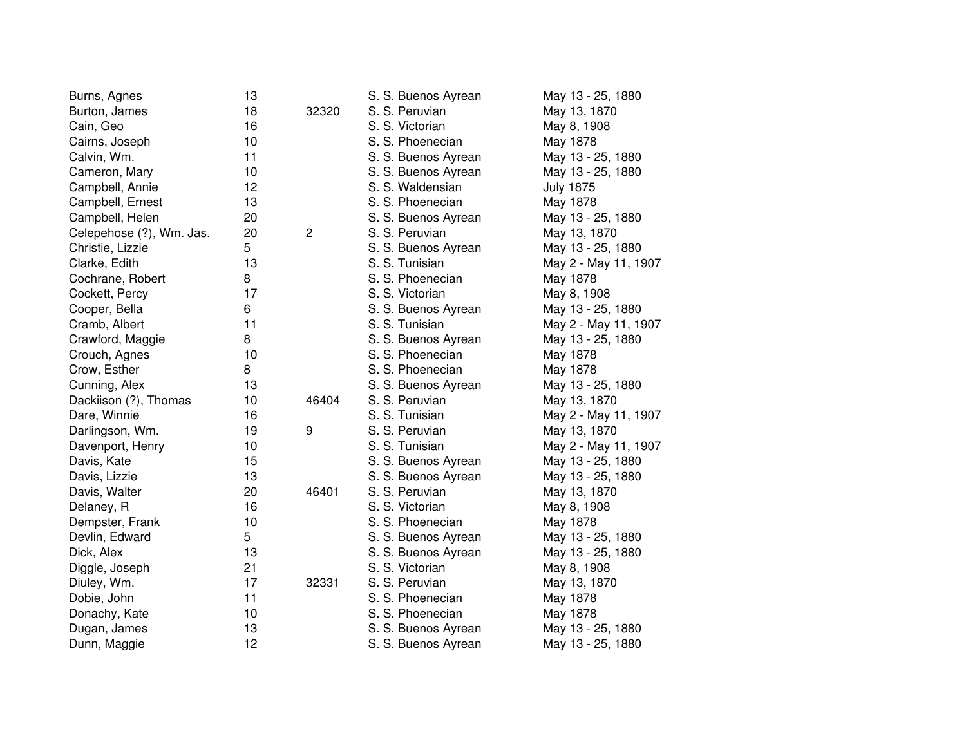| Burns, Agnes             | 13 |                | S. S. Buenos Ayrean | May 13 - 25, 1880    |
|--------------------------|----|----------------|---------------------|----------------------|
| Burton, James            | 18 | 32320          | S. S. Peruvian      | May 13, 1870         |
| Cain, Geo                | 16 |                | S. S. Victorian     | May 8, 1908          |
| Cairns, Joseph           | 10 |                | S. S. Phoenecian    | May 1878             |
| Calvin, Wm.              | 11 |                | S. S. Buenos Ayrean | May 13 - 25, 1880    |
| Cameron, Mary            | 10 |                | S. S. Buenos Ayrean | May 13 - 25, 1880    |
| Campbell, Annie          | 12 |                | S. S. Waldensian    | <b>July 1875</b>     |
| Campbell, Ernest         | 13 |                | S. S. Phoenecian    | May 1878             |
| Campbell, Helen          | 20 |                | S. S. Buenos Ayrean | May 13 - 25, 1880    |
| Celepehose (?), Wm. Jas. | 20 | $\overline{c}$ | S. S. Peruvian      | May 13, 1870         |
| Christie, Lizzie         | 5  |                | S. S. Buenos Ayrean | May 13 - 25, 1880    |
| Clarke, Edith            | 13 |                | S. S. Tunisian      | May 2 - May 11, 1907 |
| Cochrane, Robert         | 8  |                | S. S. Phoenecian    | May 1878             |
| Cockett, Percy           | 17 |                | S. S. Victorian     | May 8, 1908          |
| Cooper, Bella            | 6  |                | S. S. Buenos Ayrean | May 13 - 25, 1880    |
| Cramb, Albert            | 11 |                | S. S. Tunisian      | May 2 - May 11, 1907 |
| Crawford, Maggie         | 8  |                | S. S. Buenos Ayrean | May 13 - 25, 1880    |
| Crouch, Agnes            | 10 |                | S. S. Phoenecian    | May 1878             |
| Crow, Esther             | 8  |                | S. S. Phoenecian    | May 1878             |
| Cunning, Alex            | 13 |                | S. S. Buenos Ayrean | May 13 - 25, 1880    |
| Dackiison (?), Thomas    | 10 | 46404          | S. S. Peruvian      | May 13, 1870         |
| Dare, Winnie             | 16 |                | S. S. Tunisian      | May 2 - May 11, 1907 |
| Darlingson, Wm.          | 19 | 9              | S. S. Peruvian      | May 13, 1870         |
| Davenport, Henry         | 10 |                | S. S. Tunisian      | May 2 - May 11, 1907 |
| Davis, Kate              | 15 |                | S. S. Buenos Ayrean | May 13 - 25, 1880    |
| Davis, Lizzie            | 13 |                | S. S. Buenos Ayrean | May 13 - 25, 1880    |
| Davis, Walter            | 20 | 46401          | S. S. Peruvian      | May 13, 1870         |
| Delaney, R               | 16 |                | S. S. Victorian     | May 8, 1908          |
| Dempster, Frank          | 10 |                | S. S. Phoenecian    | May 1878             |
| Devlin, Edward           | 5  |                | S. S. Buenos Ayrean | May 13 - 25, 1880    |
| Dick, Alex               | 13 |                | S. S. Buenos Ayrean | May 13 - 25, 1880    |
| Diggle, Joseph           | 21 |                | S. S. Victorian     | May 8, 1908          |
| Diuley, Wm.              | 17 | 32331          | S. S. Peruvian      | May 13, 1870         |
| Dobie, John              | 11 |                | S. S. Phoenecian    | May 1878             |
| Donachy, Kate            | 10 |                | S. S. Phoenecian    | May 1878             |
| Dugan, James             | 13 |                | S. S. Buenos Ayrean | May 13 - 25, 1880    |
| Dunn, Maggie             | 12 |                | S. S. Buenos Ayrean | May 13 - 25, 1880    |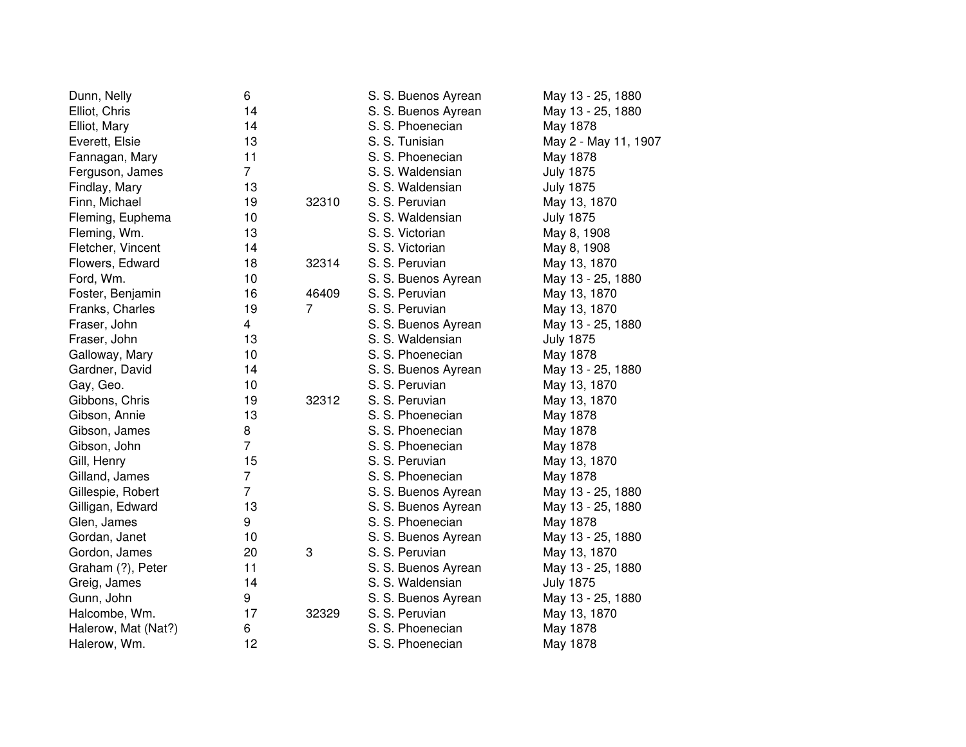| Dunn, Nelly         | 6              |                | S. S. Buenos Ayrean | May 13 - 25, 1880    |
|---------------------|----------------|----------------|---------------------|----------------------|
| Elliot, Chris       | 14             |                | S. S. Buenos Ayrean | May 13 - 25, 1880    |
| Elliot, Mary        | 14             |                | S. S. Phoenecian    | May 1878             |
| Everett, Elsie      | 13             |                | S. S. Tunisian      | May 2 - May 11, 1907 |
| Fannagan, Mary      | 11             |                | S. S. Phoenecian    | May 1878             |
| Ferguson, James     | $\overline{7}$ |                | S. S. Waldensian    | <b>July 1875</b>     |
| Findlay, Mary       | 13             |                | S. S. Waldensian    | <b>July 1875</b>     |
| Finn, Michael       | 19             | 32310          | S. S. Peruvian      | May 13, 1870         |
| Fleming, Euphema    | 10             |                | S. S. Waldensian    | <b>July 1875</b>     |
| Fleming, Wm.        | 13             |                | S. S. Victorian     | May 8, 1908          |
| Fletcher, Vincent   | 14             |                | S. S. Victorian     | May 8, 1908          |
| Flowers, Edward     | 18             | 32314          | S. S. Peruvian      | May 13, 1870         |
| Ford, Wm.           | 10             |                | S. S. Buenos Ayrean | May 13 - 25, 1880    |
| Foster, Benjamin    | 16             | 46409          | S. S. Peruvian      | May 13, 1870         |
| Franks, Charles     | 19             | $\overline{7}$ | S. S. Peruvian      | May 13, 1870         |
| Fraser, John        | 4              |                | S. S. Buenos Ayrean | May 13 - 25, 1880    |
| Fraser, John        | 13             |                | S. S. Waldensian    | <b>July 1875</b>     |
| Galloway, Mary      | 10             |                | S. S. Phoenecian    | May 1878             |
| Gardner, David      | 14             |                | S. S. Buenos Ayrean | May 13 - 25, 1880    |
| Gay, Geo.           | 10             |                | S. S. Peruvian      | May 13, 1870         |
| Gibbons, Chris      | 19             | 32312          | S. S. Peruvian      | May 13, 1870         |
| Gibson, Annie       | 13             |                | S. S. Phoenecian    | May 1878             |
| Gibson, James       | 8              |                | S. S. Phoenecian    | May 1878             |
| Gibson, John        | $\overline{7}$ |                | S. S. Phoenecian    | May 1878             |
| Gill, Henry         | 15             |                | S. S. Peruvian      | May 13, 1870         |
| Gilland, James      | $\overline{7}$ |                | S. S. Phoenecian    | May 1878             |
| Gillespie, Robert   | $\overline{7}$ |                | S. S. Buenos Ayrean | May 13 - 25, 1880    |
| Gilligan, Edward    | 13             |                | S. S. Buenos Ayrean | May 13 - 25, 1880    |
| Glen, James         | 9              |                | S. S. Phoenecian    | May 1878             |
| Gordan, Janet       | 10             |                | S. S. Buenos Ayrean | May 13 - 25, 1880    |
| Gordon, James       | 20             | 3              | S. S. Peruvian      | May 13, 1870         |
| Graham (?), Peter   | 11             |                | S. S. Buenos Ayrean | May 13 - 25, 1880    |
| Greig, James        | 14             |                | S. S. Waldensian    | <b>July 1875</b>     |
| Gunn, John          | 9              |                | S. S. Buenos Ayrean | May 13 - 25, 1880    |
| Halcombe, Wm.       | 17             | 32329          | S. S. Peruvian      | May 13, 1870         |
| Halerow, Mat (Nat?) | 6              |                | S. S. Phoenecian    | May 1878             |
| Halerow, Wm.        | 12             |                | S. S. Phoenecian    | May 1878             |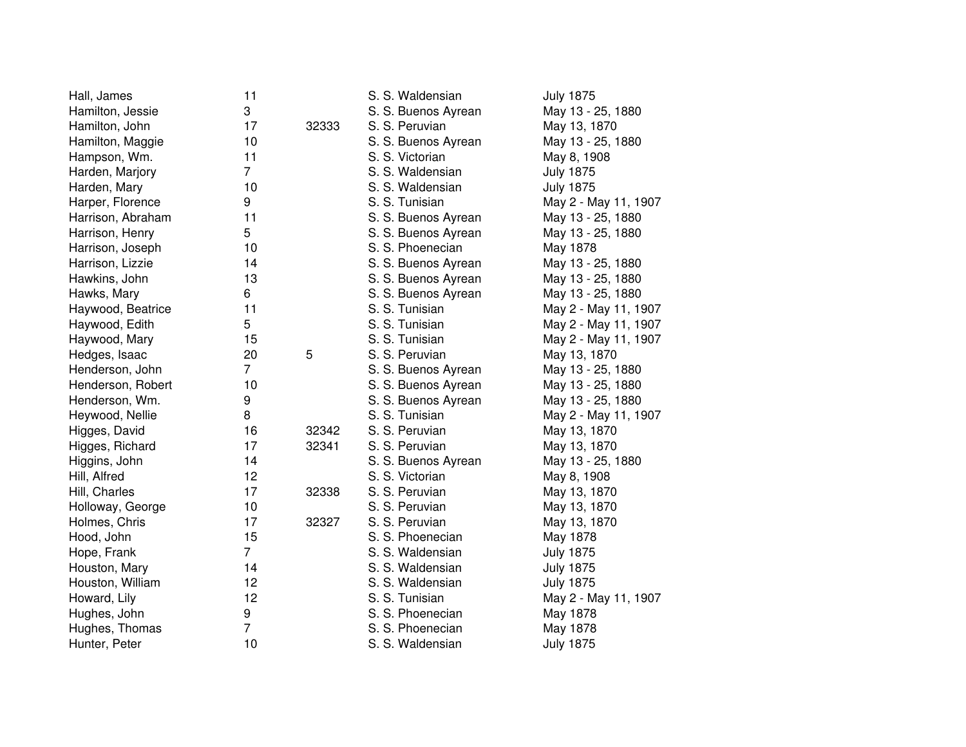| Hall, James       | 11             |       | S. S. Waldensian    | <b>July 1875</b>     |
|-------------------|----------------|-------|---------------------|----------------------|
| Hamilton, Jessie  | 3              |       | S. S. Buenos Ayrean | May 13 - 25, 1880    |
| Hamilton, John    | 17             | 32333 | S. S. Peruvian      | May 13, 1870         |
| Hamilton, Maggie  | 10             |       | S. S. Buenos Ayrean | May 13 - 25, 1880    |
| Hampson, Wm.      | 11             |       | S. S. Victorian     | May 8, 1908          |
| Harden, Marjory   | $\overline{7}$ |       | S. S. Waldensian    | <b>July 1875</b>     |
| Harden, Mary      | 10             |       | S. S. Waldensian    | <b>July 1875</b>     |
| Harper, Florence  | 9              |       | S. S. Tunisian      | May 2 - May 11, 1907 |
| Harrison, Abraham | 11             |       | S. S. Buenos Ayrean | May 13 - 25, 1880    |
| Harrison, Henry   | 5              |       | S. S. Buenos Ayrean | May 13 - 25, 1880    |
| Harrison, Joseph  | 10             |       | S. S. Phoenecian    | May 1878             |
| Harrison, Lizzie  | 14             |       | S. S. Buenos Ayrean | May 13 - 25, 1880    |
| Hawkins, John     | 13             |       | S. S. Buenos Ayrean | May 13 - 25, 1880    |
| Hawks, Mary       | 6              |       | S. S. Buenos Ayrean | May 13 - 25, 1880    |
| Haywood, Beatrice | 11             |       | S. S. Tunisian      | May 2 - May 11, 1907 |
| Haywood, Edith    | 5              |       | S. S. Tunisian      | May 2 - May 11, 1907 |
| Haywood, Mary     | 15             |       | S. S. Tunisian      | May 2 - May 11, 1907 |
| Hedges, Isaac     | 20             | 5     | S. S. Peruvian      | May 13, 1870         |
| Henderson, John   | $\overline{7}$ |       | S. S. Buenos Ayrean | May 13 - 25, 1880    |
| Henderson, Robert | 10             |       | S. S. Buenos Ayrean | May 13 - 25, 1880    |
| Henderson, Wm.    | 9              |       | S. S. Buenos Ayrean | May 13 - 25, 1880    |
| Heywood, Nellie   | 8              |       | S. S. Tunisian      | May 2 - May 11, 1907 |
| Higges, David     | 16             | 32342 | S. S. Peruvian      | May 13, 1870         |
| Higges, Richard   | 17             | 32341 | S. S. Peruvian      | May 13, 1870         |
| Higgins, John     | 14             |       | S. S. Buenos Ayrean | May 13 - 25, 1880    |
| Hill, Alfred      | 12             |       | S. S. Victorian     | May 8, 1908          |
| Hill, Charles     | 17             | 32338 | S. S. Peruvian      | May 13, 1870         |
| Holloway, George  | 10             |       | S. S. Peruvian      | May 13, 1870         |
| Holmes, Chris     | 17             | 32327 | S. S. Peruvian      | May 13, 1870         |
| Hood, John        | 15             |       | S. S. Phoenecian    | May 1878             |
| Hope, Frank       | $\overline{7}$ |       | S. S. Waldensian    | <b>July 1875</b>     |
| Houston, Mary     | 14             |       | S. S. Waldensian    | <b>July 1875</b>     |
| Houston, William  | 12             |       | S. S. Waldensian    | <b>July 1875</b>     |
| Howard, Lily      | 12             |       | S. S. Tunisian      | May 2 - May 11, 1907 |
| Hughes, John      | 9              |       | S. S. Phoenecian    | May 1878             |
| Hughes, Thomas    | 7              |       | S. S. Phoenecian    | May 1878             |
| Hunter, Peter     | 10             |       | S. S. Waldensian    | <b>July 1875</b>     |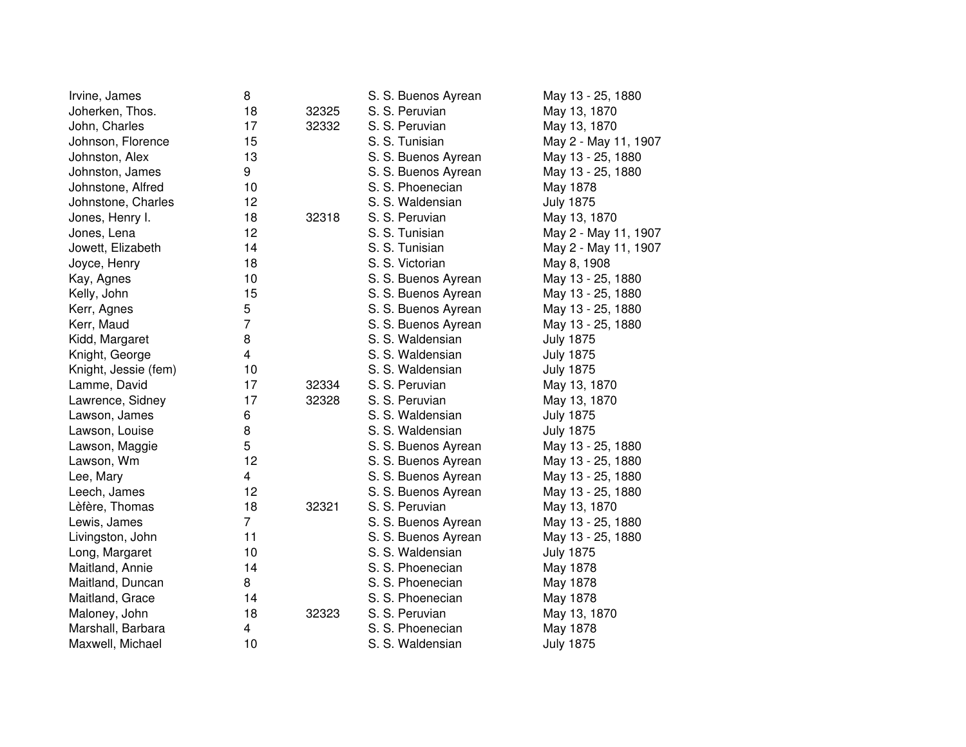| Irvine, James        | 8                       |       | S. S. Buenos Ayrean | May 13 - 25, 1880    |
|----------------------|-------------------------|-------|---------------------|----------------------|
| Joherken, Thos.      | 18                      | 32325 | S. S. Peruvian      | May 13, 1870         |
| John, Charles        | 17                      | 32332 | S. S. Peruvian      | May 13, 1870         |
| Johnson, Florence    | 15                      |       | S. S. Tunisian      | May 2 - May 11, 1907 |
| Johnston, Alex       | 13                      |       | S. S. Buenos Ayrean | May 13 - 25, 1880    |
| Johnston, James      | 9                       |       | S. S. Buenos Ayrean | May 13 - 25, 1880    |
| Johnstone, Alfred    | 10                      |       | S. S. Phoenecian    | May 1878             |
| Johnstone, Charles   | 12                      |       | S. S. Waldensian    | <b>July 1875</b>     |
| Jones, Henry I.      | 18                      | 32318 | S. S. Peruvian      | May 13, 1870         |
| Jones, Lena          | 12                      |       | S. S. Tunisian      | May 2 - May 11, 1907 |
| Jowett, Elizabeth    | 14                      |       | S. S. Tunisian      | May 2 - May 11, 1907 |
| Joyce, Henry         | 18                      |       | S. S. Victorian     | May 8, 1908          |
| Kay, Agnes           | 10                      |       | S. S. Buenos Ayrean | May 13 - 25, 1880    |
| Kelly, John          | 15                      |       | S. S. Buenos Ayrean | May 13 - 25, 1880    |
| Kerr, Agnes          | 5                       |       | S. S. Buenos Ayrean | May 13 - 25, 1880    |
| Kerr, Maud           | $\overline{7}$          |       | S. S. Buenos Ayrean | May 13 - 25, 1880    |
| Kidd, Margaret       | 8                       |       | S. S. Waldensian    | <b>July 1875</b>     |
| Knight, George       | $\overline{\mathbf{4}}$ |       | S. S. Waldensian    | <b>July 1875</b>     |
| Knight, Jessie (fem) | 10                      |       | S. S. Waldensian    | <b>July 1875</b>     |
| Lamme, David         | 17                      | 32334 | S. S. Peruvian      | May 13, 1870         |
| Lawrence, Sidney     | 17                      | 32328 | S. S. Peruvian      | May 13, 1870         |
| Lawson, James        | 6                       |       | S. S. Waldensian    | <b>July 1875</b>     |
| Lawson, Louise       | 8                       |       | S. S. Waldensian    | <b>July 1875</b>     |
| Lawson, Maggie       | 5                       |       | S. S. Buenos Ayrean | May 13 - 25, 1880    |
| Lawson, Wm           | 12                      |       | S. S. Buenos Ayrean | May 13 - 25, 1880    |
| Lee, Mary            | $\overline{\mathbf{4}}$ |       | S. S. Buenos Ayrean | May 13 - 25, 1880    |
| Leech, James         | 12                      |       | S. S. Buenos Ayrean | May 13 - 25, 1880    |
| Lèfère, Thomas       | 18                      | 32321 | S. S. Peruvian      | May 13, 1870         |
| Lewis, James         | $\overline{7}$          |       | S. S. Buenos Ayrean | May 13 - 25, 1880    |
| Livingston, John     | 11                      |       | S. S. Buenos Ayrean | May 13 - 25, 1880    |
| Long, Margaret       | 10                      |       | S. S. Waldensian    | <b>July 1875</b>     |
| Maitland, Annie      | 14                      |       | S. S. Phoenecian    | May 1878             |
| Maitland, Duncan     | 8                       |       | S. S. Phoenecian    | May 1878             |
| Maitland, Grace      | 14                      |       | S. S. Phoenecian    | May 1878             |
| Maloney, John        | 18                      | 32323 | S. S. Peruvian      | May 13, 1870         |
| Marshall, Barbara    | 4                       |       | S. S. Phoenecian    | May 1878             |
| Maxwell, Michael     | 10                      |       | S. S. Waldensian    | <b>July 1875</b>     |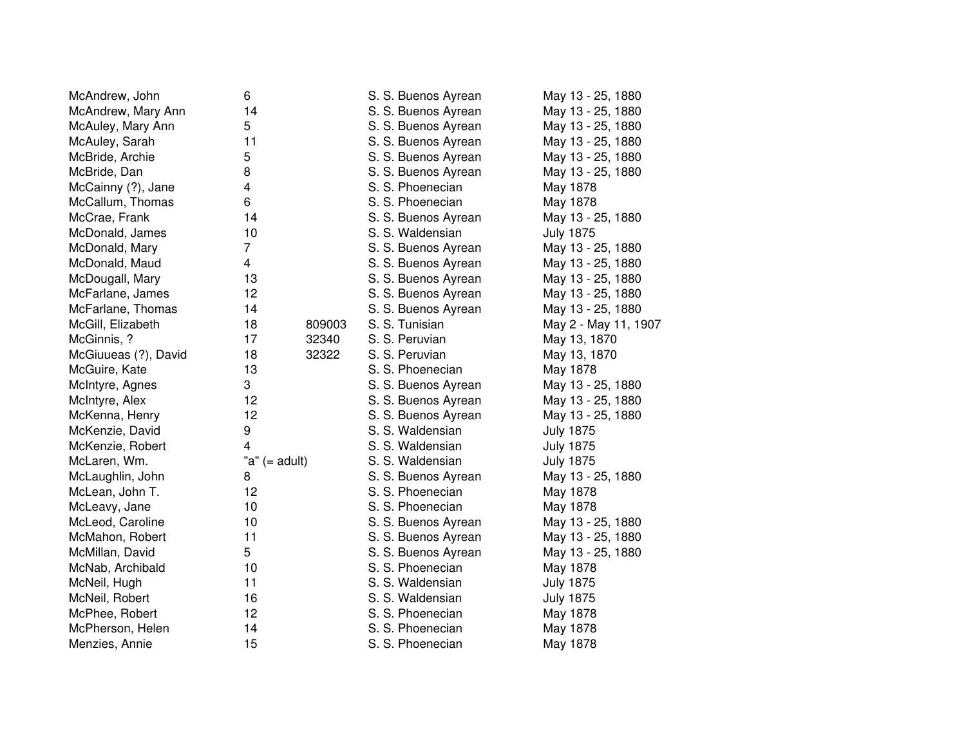| McAndrew, John       | 6               |        | S. S. Buenos Ayrean | May 13 - 25, 1880    |
|----------------------|-----------------|--------|---------------------|----------------------|
| McAndrew, Mary Ann   | 14              |        | S. S. Buenos Ayrean | May 13 - 25, 1880    |
| McAuley, Mary Ann    | 5               |        | S. S. Buenos Ayrean | May 13 - 25, 1880    |
| McAuley, Sarah       | 11              |        | S. S. Buenos Ayrean | May 13 - 25, 1880    |
| McBride, Archie      | 5               |        | S. S. Buenos Ayrean | May 13 - 25, 1880    |
| McBride, Dan         | 8               |        | S. S. Buenos Ayrean | May 13 - 25, 1880    |
| McCainny (?), Jane   | 4               |        | S. S. Phoenecian    | May 1878             |
| McCallum, Thomas     | 6               |        | S. S. Phoenecian    | May 1878             |
| McCrae, Frank        | 14              |        | S. S. Buenos Ayrean | May 13 - 25, 1880    |
| McDonald, James      | 10              |        | S. S. Waldensian    | <b>July 1875</b>     |
| McDonald, Mary       | 7               |        | S. S. Buenos Ayrean | May 13 - 25, 1880    |
| McDonald, Maud       | $\overline{4}$  |        | S. S. Buenos Ayrean | May 13 - 25, 1880    |
| McDougall, Mary      | 13              |        | S. S. Buenos Ayrean | May 13 - 25, 1880    |
| McFarlane, James     | 12              |        | S. S. Buenos Ayrean | May 13 - 25, 1880    |
| McFarlane, Thomas    | 14              |        | S. S. Buenos Ayrean | May 13 - 25, 1880    |
| McGill, Elizabeth    | 18              | 809003 | S. S. Tunisian      | May 2 - May 11, 1907 |
| McGinnis, ?          | 17              | 32340  | S. S. Peruvian      | May 13, 1870         |
| McGiuueas (?), David | 18              | 32322  | S. S. Peruvian      | May 13, 1870         |
| McGuire, Kate        | 13              |        | S. S. Phoenecian    | May 1878             |
| McIntyre, Agnes      | 3               |        | S. S. Buenos Ayrean | May 13 - 25, 1880    |
| McIntyre, Alex       | 12              |        | S. S. Buenos Ayrean | May 13 - 25, 1880    |
| McKenna, Henry       | 12              |        | S. S. Buenos Ayrean | May 13 - 25, 1880    |
| McKenzie, David      | 9               |        | S. S. Waldensian    | <b>July 1875</b>     |
| McKenzie, Robert     | 4               |        | S. S. Waldensian    | <b>July 1875</b>     |
| McLaren, Wm.         | "a" $(=$ adult) |        | S. S. Waldensian    | <b>July 1875</b>     |
| McLaughlin, John     | 8               |        | S. S. Buenos Ayrean | May 13 - 25, 1880    |
| McLean, John T.      | 12              |        | S. S. Phoenecian    | May 1878             |
| McLeavy, Jane        | 10              |        | S. S. Phoenecian    | May 1878             |
| McLeod, Caroline     | 10              |        | S. S. Buenos Ayrean | May 13 - 25, 1880    |
| McMahon, Robert      | 11              |        | S. S. Buenos Ayrean | May 13 - 25, 1880    |
| McMillan, David      | 5               |        | S. S. Buenos Ayrean | May 13 - 25, 1880    |
| McNab, Archibald     | 10              |        | S. S. Phoenecian    | May 1878             |
| McNeil, Hugh         | 11              |        | S. S. Waldensian    | <b>July 1875</b>     |
| McNeil, Robert       | 16              |        | S. S. Waldensian    | <b>July 1875</b>     |
| McPhee, Robert       | 12              |        | S. S. Phoenecian    | May 1878             |
| McPherson, Helen     | 14              |        | S. S. Phoenecian    | May 1878             |
| Menzies, Annie       | 15              |        | S. S. Phoenecian    | May 1878             |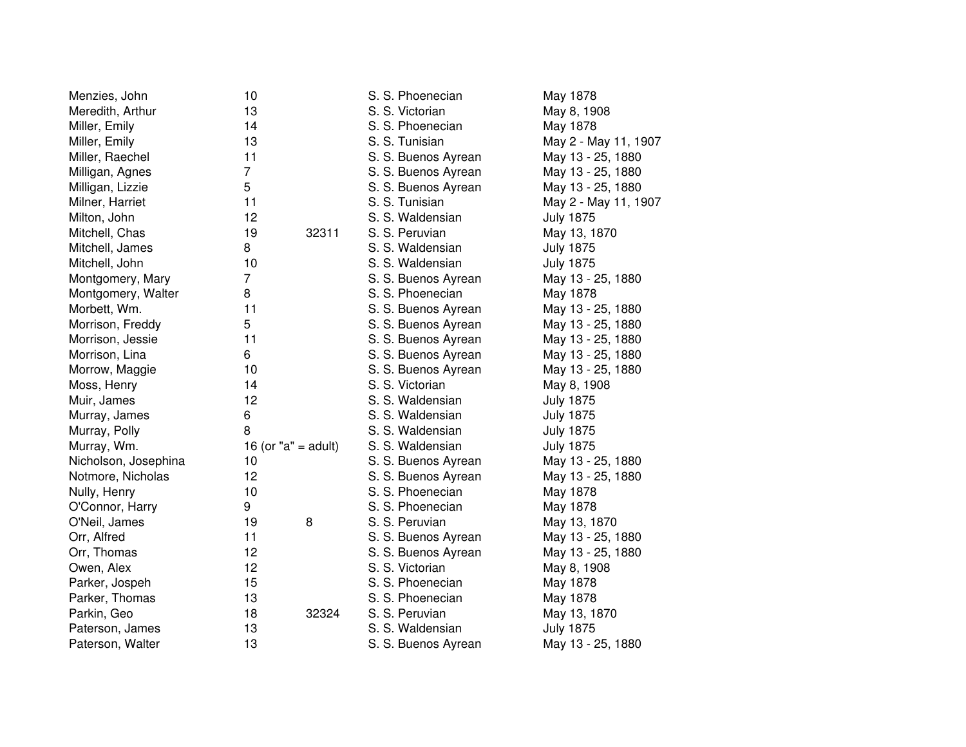| Menzies, John        | 10                      |       | S. S. Phoenecian    | May 1878             |
|----------------------|-------------------------|-------|---------------------|----------------------|
| Meredith, Arthur     | 13                      |       | S. S. Victorian     | May 8, 1908          |
| Miller, Emily        | 14                      |       | S. S. Phoenecian    | May 1878             |
| Miller, Emily        | 13                      |       | S. S. Tunisian      | May 2 - May 11, 1907 |
| Miller, Raechel      | 11                      |       | S. S. Buenos Ayrean | May 13 - 25, 1880    |
| Milligan, Agnes      | $\overline{7}$          |       | S. S. Buenos Ayrean | May 13 - 25, 1880    |
| Milligan, Lizzie     | 5                       |       | S. S. Buenos Ayrean | May 13 - 25, 1880    |
| Milner, Harriet      | 11                      |       | S. S. Tunisian      | May 2 - May 11, 1907 |
| Milton, John         | 12                      |       | S. S. Waldensian    | <b>July 1875</b>     |
| Mitchell, Chas       | 19                      | 32311 | S. S. Peruvian      | May 13, 1870         |
| Mitchell, James      | 8                       |       | S. S. Waldensian    | <b>July 1875</b>     |
| Mitchell, John       | 10                      |       | S. S. Waldensian    | <b>July 1875</b>     |
| Montgomery, Mary     | $\overline{7}$          |       | S. S. Buenos Ayrean | May 13 - 25, 1880    |
| Montgomery, Walter   | 8                       |       | S. S. Phoenecian    | May 1878             |
| Morbett, Wm.         | 11                      |       | S. S. Buenos Ayrean | May 13 - 25, 1880    |
| Morrison, Freddy     | 5                       |       | S. S. Buenos Ayrean | May 13 - 25, 1880    |
| Morrison, Jessie     | 11                      |       | S. S. Buenos Ayrean | May 13 - 25, 1880    |
| Morrison, Lina       | 6                       |       | S. S. Buenos Ayrean | May 13 - 25, 1880    |
| Morrow, Maggie       | 10                      |       | S. S. Buenos Ayrean | May 13 - 25, 1880    |
| Moss, Henry          | 14                      |       | S. S. Victorian     | May 8, 1908          |
| Muir, James          | 12                      |       | S. S. Waldensian    | <b>July 1875</b>     |
| Murray, James        | 6                       |       | S. S. Waldensian    | <b>July 1875</b>     |
| Murray, Polly        | 8                       |       | S. S. Waldensian    | <b>July 1875</b>     |
| Murray, Wm.          | 16 (or " $a$ " = adult) |       | S. S. Waldensian    | <b>July 1875</b>     |
| Nicholson, Josephina | 10                      |       | S. S. Buenos Ayrean | May 13 - 25, 1880    |
| Notmore, Nicholas    | 12                      |       | S. S. Buenos Ayrean | May 13 - 25, 1880    |
| Nully, Henry         | 10                      |       | S. S. Phoenecian    | May 1878             |
| O'Connor, Harry      | 9                       |       | S. S. Phoenecian    | May 1878             |
| O'Neil, James        | 19                      | 8     | S. S. Peruvian      | May 13, 1870         |
| Orr, Alfred          | 11                      |       | S. S. Buenos Ayrean | May 13 - 25, 1880    |
| Orr, Thomas          | 12                      |       | S. S. Buenos Ayrean | May 13 - 25, 1880    |
| Owen, Alex           | 12                      |       | S. S. Victorian     | May 8, 1908          |
| Parker, Jospeh       | 15                      |       | S. S. Phoenecian    | May 1878             |
| Parker, Thomas       | 13                      |       | S. S. Phoenecian    | May 1878             |
| Parkin, Geo          | 18                      | 32324 | S. S. Peruvian      | May 13, 1870         |
| Paterson, James      | 13                      |       | S. S. Waldensian    | <b>July 1875</b>     |
| Paterson, Walter     | 13                      |       | S. S. Buenos Ayrean | May 13 - 25, 1880    |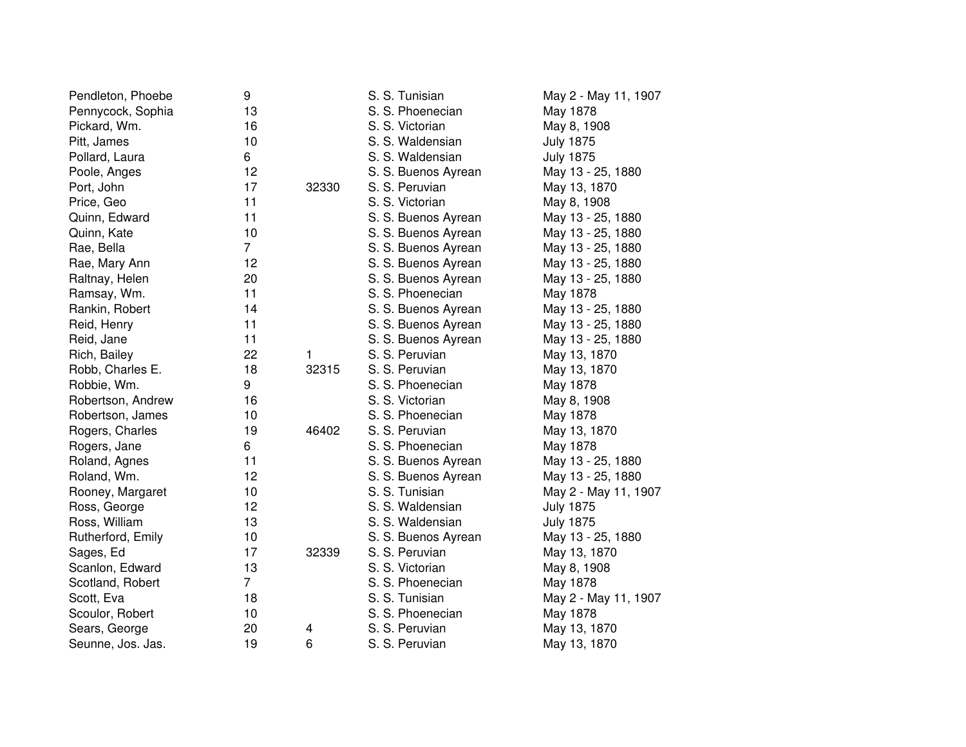| Pendleton, Phoebe | 9              |       | S. S. Tunisian      | May 2 - May 11, 1907 |
|-------------------|----------------|-------|---------------------|----------------------|
| Pennycock, Sophia | 13             |       | S. S. Phoenecian    | May 1878             |
| Pickard, Wm.      | 16             |       | S. S. Victorian     | May 8, 1908          |
| Pitt, James       | 10             |       | S. S. Waldensian    | <b>July 1875</b>     |
| Pollard, Laura    | 6              |       | S. S. Waldensian    | <b>July 1875</b>     |
| Poole, Anges      | 12             |       | S. S. Buenos Ayrean | May 13 - 25, 1880    |
| Port, John        | 17             | 32330 | S. S. Peruvian      | May 13, 1870         |
| Price, Geo        | 11             |       | S. S. Victorian     | May 8, 1908          |
| Quinn, Edward     | 11             |       | S. S. Buenos Ayrean | May 13 - 25, 1880    |
| Quinn, Kate       | 10             |       | S. S. Buenos Ayrean | May 13 - 25, 1880    |
| Rae, Bella        | $\overline{7}$ |       | S. S. Buenos Ayrean | May 13 - 25, 1880    |
| Rae, Mary Ann     | 12             |       | S. S. Buenos Ayrean | May 13 - 25, 1880    |
| Raltnay, Helen    | 20             |       | S. S. Buenos Ayrean | May 13 - 25, 1880    |
| Ramsay, Wm.       | 11             |       | S. S. Phoenecian    | May 1878             |
| Rankin, Robert    | 14             |       | S. S. Buenos Ayrean | May 13 - 25, 1880    |
| Reid, Henry       | 11             |       | S. S. Buenos Ayrean | May 13 - 25, 1880    |
| Reid, Jane        | 11             |       | S. S. Buenos Ayrean | May 13 - 25, 1880    |
| Rich, Bailey      | 22             | 1.    | S. S. Peruvian      | May 13, 1870         |
| Robb, Charles E.  | 18             | 32315 | S. S. Peruvian      | May 13, 1870         |
| Robbie, Wm.       | 9              |       | S. S. Phoenecian    | May 1878             |
| Robertson, Andrew | 16             |       | S. S. Victorian     | May 8, 1908          |
| Robertson, James  | 10             |       | S. S. Phoenecian    | May 1878             |
| Rogers, Charles   | 19             | 46402 | S. S. Peruvian      | May 13, 1870         |
| Rogers, Jane      | 6              |       | S. S. Phoenecian    | May 1878             |
| Roland, Agnes     | 11             |       | S. S. Buenos Ayrean | May 13 - 25, 1880    |
| Roland, Wm.       | 12             |       | S. S. Buenos Ayrean | May 13 - 25, 1880    |
| Rooney, Margaret  | 10             |       | S. S. Tunisian      | May 2 - May 11, 1907 |
| Ross, George      | 12             |       | S. S. Waldensian    | <b>July 1875</b>     |
| Ross, William     | 13             |       | S. S. Waldensian    | <b>July 1875</b>     |
| Rutherford, Emily | 10             |       | S. S. Buenos Ayrean | May 13 - 25, 1880    |
| Sages, Ed         | 17             | 32339 | S. S. Peruvian      | May 13, 1870         |
| Scanlon, Edward   | 13             |       | S. S. Victorian     | May 8, 1908          |
| Scotland, Robert  | $\overline{7}$ |       | S. S. Phoenecian    | May 1878             |
| Scott, Eva        | 18             |       | S. S. Tunisian      | May 2 - May 11, 1907 |
| Scoulor, Robert   | 10             |       | S. S. Phoenecian    | May 1878             |
| Sears, George     | 20             | 4     | S. S. Peruvian      | May 13, 1870         |
| Seunne, Jos. Jas. | 19             | 6     | S. S. Peruvian      | May 13, 1870         |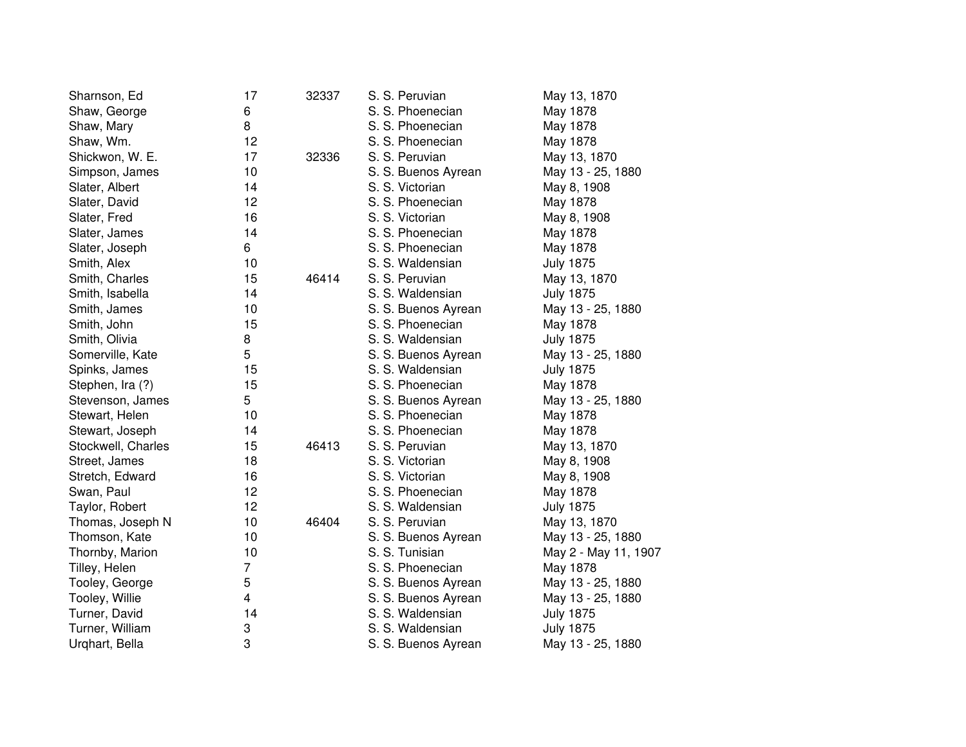| Sharnson, Ed       | 17 | 32337 | S. S. Peruvian      | May 13, 1870         |
|--------------------|----|-------|---------------------|----------------------|
| Shaw, George       | 6  |       | S. S. Phoenecian    | May 1878             |
| Shaw, Mary         | 8  |       | S. S. Phoenecian    | May 1878             |
| Shaw, Wm.          | 12 |       | S. S. Phoenecian    | May 1878             |
| Shickwon, W. E.    | 17 | 32336 | S. S. Peruvian      | May 13, 1870         |
| Simpson, James     | 10 |       | S. S. Buenos Ayrean | May 13 - 25, 1880    |
| Slater, Albert     | 14 |       | S. S. Victorian     | May 8, 1908          |
| Slater, David      | 12 |       | S. S. Phoenecian    | May 1878             |
| Slater, Fred       | 16 |       | S. S. Victorian     | May 8, 1908          |
| Slater, James      | 14 |       | S. S. Phoenecian    | May 1878             |
| Slater, Joseph     | 6  |       | S. S. Phoenecian    | May 1878             |
| Smith, Alex        | 10 |       | S. S. Waldensian    | <b>July 1875</b>     |
| Smith, Charles     | 15 | 46414 | S. S. Peruvian      | May 13, 1870         |
| Smith, Isabella    | 14 |       | S. S. Waldensian    | <b>July 1875</b>     |
| Smith, James       | 10 |       | S. S. Buenos Ayrean | May 13 - 25, 1880    |
| Smith, John        | 15 |       | S. S. Phoenecian    | May 1878             |
| Smith, Olivia      | 8  |       | S. S. Waldensian    | <b>July 1875</b>     |
| Somerville, Kate   | 5  |       | S. S. Buenos Ayrean | May 13 - 25, 1880    |
| Spinks, James      | 15 |       | S. S. Waldensian    | <b>July 1875</b>     |
| Stephen, Ira (?)   | 15 |       | S. S. Phoenecian    | May 1878             |
| Stevenson, James   | 5  |       | S. S. Buenos Ayrean | May 13 - 25, 1880    |
| Stewart, Helen     | 10 |       | S. S. Phoenecian    | May 1878             |
| Stewart, Joseph    | 14 |       | S. S. Phoenecian    | May 1878             |
| Stockwell, Charles | 15 | 46413 | S. S. Peruvian      | May 13, 1870         |
| Street, James      | 18 |       | S. S. Victorian     | May 8, 1908          |
| Stretch, Edward    | 16 |       | S. S. Victorian     | May 8, 1908          |
| Swan, Paul         | 12 |       | S. S. Phoenecian    | May 1878             |
| Taylor, Robert     | 12 |       | S. S. Waldensian    | <b>July 1875</b>     |
| Thomas, Joseph N   | 10 | 46404 | S. S. Peruvian      | May 13, 1870         |
| Thomson, Kate      | 10 |       | S. S. Buenos Ayrean | May 13 - 25, 1880    |
| Thornby, Marion    | 10 |       | S. S. Tunisian      | May 2 - May 11, 1907 |
| Tilley, Helen      | 7  |       | S. S. Phoenecian    | May 1878             |
| Tooley, George     | 5  |       | S. S. Buenos Ayrean | May 13 - 25, 1880    |
| Tooley, Willie     | 4  |       | S. S. Buenos Ayrean | May 13 - 25, 1880    |
| Turner, David      | 14 |       | S. S. Waldensian    | <b>July 1875</b>     |
| Turner, William    | 3  |       | S. S. Waldensian    | <b>July 1875</b>     |
| Urghart, Bella     | 3  |       | S. S. Buenos Ayrean | May 13 - 25, 1880    |